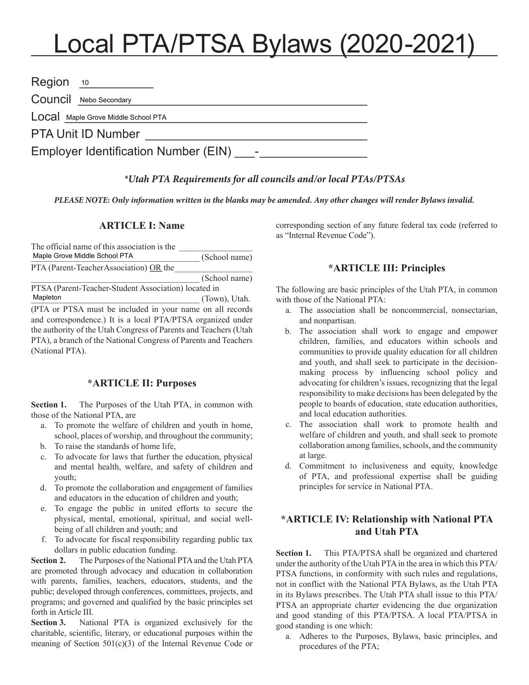# Local PTA/PTSA Bylaws (2020-2021)

| Region                               | 10                    |  |
|--------------------------------------|-----------------------|--|
|                                      | COUNCI Nebo Secondary |  |
| LOCA Maple Grove Middle School PTA   |                       |  |
| <b>PTA Unit ID Number</b>            |                       |  |
| Employer Identification Number (EIN) |                       |  |

#### *\*Utah PTA Requirements for all councils and/or local PTAs/PTSAs*

*PLEASE NOTE: Only information written in the blanks may be amended. Any other changes will render Bylaws invalid.*

# **ARTICLE I: Name**

| The official name of this association is the              |               |
|-----------------------------------------------------------|---------------|
| Maple Grove Middle School PTA                             | (School name) |
| PTA (Parent-Teacher Association) OR the                   |               |
|                                                           | (School name) |
| PTSA (Parent-Teacher-Student Association) located in      |               |
| Mapleton                                                  | (Town), Utah. |
| (PTA or PTSA must be included in your name on all records |               |

and correspondence.) It is a local PTA/PTSA organized under the authority of the Utah Congress of Parents and Teachers (Utah PTA), a branch of the National Congress of Parents and Teachers (National PTA).

#### **\*ARTICLE II: Purposes**

Section 1. The Purposes of the Utah PTA, in common with those of the National PTA, are

- a. To promote the welfare of children and youth in home, school, places of worship, and throughout the community;
- b. To raise the standards of home life,
- c. To advocate for laws that further the education, physical and mental health, welfare, and safety of children and youth;
- d. To promote the collaboration and engagement of families and educators in the education of children and youth;
- e. To engage the public in united efforts to secure the physical, mental, emotional, spiritual, and social wellbeing of all children and youth; and
- f. To advocate for fiscal responsibility regarding public tax dollars in public education funding.

**Section 2.** The Purposes of the National PTA and the Utah PTA are promoted through advocacy and education in collaboration with parents, families, teachers, educators, students, and the public; developed through conferences, committees, projects, and programs; and governed and qualified by the basic principles set forth in Article III.

**Section 3.** National PTA is organized exclusively for the charitable, scientific, literary, or educational purposes within the meaning of Section 501(c)(3) of the Internal Revenue Code or corresponding section of any future federal tax code (referred to as "Internal Revenue Code").

#### **\*ARTICLE III: Principles**

The following are basic principles of the Utah PTA, in common with those of the National PTA:

- a. The association shall be noncommercial, nonsectarian, and nonpartisan.
- b. The association shall work to engage and empower children, families, and educators within schools and communities to provide quality education for all children and youth, and shall seek to participate in the decisionmaking process by influencing school policy and advocating for children's issues, recognizing that the legal responsibility to make decisions has been delegated by the people to boards of education, state education authorities, and local education authorities.
- c. The association shall work to promote health and welfare of children and youth, and shall seek to promote collaboration among families, schools, and the community at large.
- d. Commitment to inclusiveness and equity, knowledge of PTA, and professional expertise shall be guiding principles for service in National PTA.

## **\*ARTICLE IV: Relationship with National PTA and Utah PTA**

**Section 1.** This PTA/PTSA shall be organized and chartered under the authority of the Utah PTA in the area in which this PTA/ PTSA functions, in conformity with such rules and regulations, not in conflict with the National PTA Bylaws, as the Utah PTA in its Bylaws prescribes. The Utah PTA shall issue to this PTA/ PTSA an appropriate charter evidencing the due organization and good standing of this PTA/PTSA. A local PTA/PTSA in good standing is one which:

a. Adheres to the Purposes, Bylaws, basic principles, and procedures of the PTA;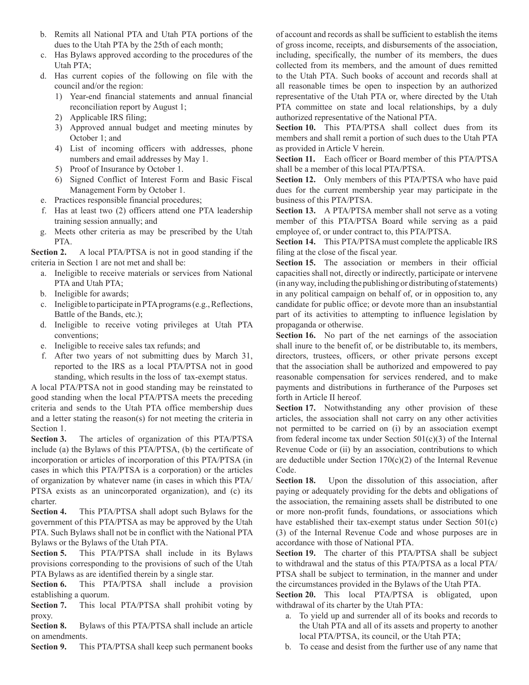- b. Remits all National PTA and Utah PTA portions of the dues to the Utah PTA by the 25th of each month;
- c. Has Bylaws approved according to the procedures of the Utah PTA;
- d. Has current copies of the following on file with the council and/or the region:
	- 1) Year-end financial statements and annual financial reconciliation report by August 1;
	- 2) Applicable IRS filing;
	- 3) Approved annual budget and meeting minutes by October 1; and
	- 4) List of incoming officers with addresses, phone numbers and email addresses by May 1.
	- 5) Proof of Insurance by October 1.
	- 6) Signed Conflict of Interest Form and Basic Fiscal Management Form by October 1.
- e. Practices responsible financial procedures;
- f. Has at least two (2) officers attend one PTA leadership training session annually; and
- g. Meets other criteria as may be prescribed by the Utah PTA.

**Section 2.** A local PTA/PTSA is not in good standing if the criteria in Section 1 are not met and shall be:

- a. Ineligible to receive materials or services from National PTA and Utah PTA;
- b. Ineligible for awards;
- c. Ineligible to participate in PTA programs (e.g., Reflections, Battle of the Bands, etc.);
- d. Ineligible to receive voting privileges at Utah PTA conventions;
- e. Ineligible to receive sales tax refunds; and
- f. After two years of not submitting dues by March 31, reported to the IRS as a local PTA/PTSA not in good standing, which results in the loss of tax-exempt status.

A local PTA/PTSA not in good standing may be reinstated to good standing when the local PTA/PTSA meets the preceding criteria and sends to the Utah PTA office membership dues and a letter stating the reason(s) for not meeting the criteria in Section 1.

**Section 3.** The articles of organization of this PTA/PTSA include (a) the Bylaws of this PTA/PTSA, (b) the certificate of incorporation or articles of incorporation of this PTA/PTSA (in cases in which this PTA/PTSA is a corporation) or the articles of organization by whatever name (in cases in which this PTA/ PTSA exists as an unincorporated organization), and (c) its charter.

**Section 4.** This PTA/PTSA shall adopt such Bylaws for the government of this PTA/PTSA as may be approved by the Utah PTA. Such Bylaws shall not be in conflict with the National PTA Bylaws or the Bylaws of the Utah PTA.

**Section 5.** This PTA/PTSA shall include in its Bylaws provisions corresponding to the provisions of such of the Utah PTA Bylaws as are identified therein by a single star.

**Section 6.** This PTA/PTSA shall include a provision establishing a quorum.

**Section 7.** This local PTA/PTSA shall prohibit voting by proxy.

**Section 8.** Bylaws of this PTA/PTSA shall include an article on amendments.

**Section 9.** This PTA/PTSA shall keep such permanent books

of account and records as shall be sufficient to establish the items of gross income, receipts, and disbursements of the association, including, specifically, the number of its members, the dues collected from its members, and the amount of dues remitted to the Utah PTA. Such books of account and records shall at all reasonable times be open to inspection by an authorized representative of the Utah PTA or, where directed by the Utah PTA committee on state and local relationships, by a duly authorized representative of the National PTA.

Section 10. This PTA/PTSA shall collect dues from its members and shall remit a portion of such dues to the Utah PTA as provided in Article V herein.

**Section 11.** Each officer or Board member of this PTA/PTSA shall be a member of this local PTA/PTSA.

**Section 12.** Only members of this PTA/PTSA who have paid dues for the current membership year may participate in the business of this PTA/PTSA.

**Section 13.** A PTA/PTSA member shall not serve as a voting member of this PTA/PTSA Board while serving as a paid employee of, or under contract to, this PTA/PTSA.

**Section 14.** This PTA/PTSA must complete the applicable IRS filing at the close of the fiscal year.

Section 15. The association or members in their official capacities shall not, directly or indirectly, participate or intervene (in any way, including the publishing or distributing of statements) in any political campaign on behalf of, or in opposition to, any candidate for public office; or devote more than an insubstantial part of its activities to attempting to influence legislation by propaganda or otherwise.

**Section 16.** No part of the net earnings of the association shall inure to the benefit of, or be distributable to, its members, directors, trustees, officers, or other private persons except that the association shall be authorized and empowered to pay reasonable compensation for services rendered, and to make payments and distributions in furtherance of the Purposes set forth in Article II hereof.

Section 17. Notwithstanding any other provision of these articles, the association shall not carry on any other activities not permitted to be carried on (i) by an association exempt from federal income tax under Section  $501(c)(3)$  of the Internal Revenue Code or (ii) by an association, contributions to which are deductible under Section 170(c)(2) of the Internal Revenue Code.

**Section 18.** Upon the dissolution of this association, after paying or adequately providing for the debts and obligations of the association, the remaining assets shall be distributed to one or more non-profit funds, foundations, or associations which have established their tax-exempt status under Section 501(c) (3) of the Internal Revenue Code and whose purposes are in accordance with those of National PTA.

**Section 19.** The charter of this PTA/PTSA shall be subject to withdrawal and the status of this PTA/PTSA as a local PTA/ PTSA shall be subject to termination, in the manner and under the circumstances provided in the Bylaws of the Utah PTA.

**Section 20.** This local PTA/PTSA is obligated, upon withdrawal of its charter by the Utah PTA:

- a. To yield up and surrender all of its books and records to the Utah PTA and all of its assets and property to another local PTA/PTSA, its council, or the Utah PTA;
- b. To cease and desist from the further use of any name that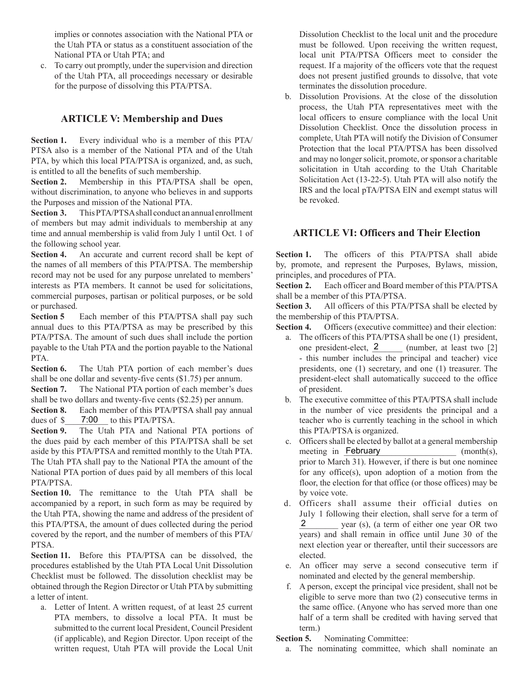implies or connotes association with the National PTA or the Utah PTA or status as a constituent association of the National PTA or Utah PTA; and

c. To carry out promptly, under the supervision and direction of the Utah PTA, all proceedings necessary or desirable for the purpose of dissolving this PTA/PTSA.

### **ARTICLE V: Membership and Dues**

**Section 1.** Every individual who is a member of this PTA/ PTSA also is a member of the National PTA and of the Utah PTA, by which this local PTA/PTSA is organized, and, as such, is entitled to all the benefits of such membership.

**Section 2.** Membership in this PTA/PTSA shall be open, without discrimination, to anyone who believes in and supports the Purposes and mission of the National PTA.

**Section 3.** This PTA/PTSA shall conduct an annual enrollment of members but may admit individuals to membership at any time and annual membership is valid from July 1 until Oct. 1 of the following school year.

**Section 4.** An accurate and current record shall be kept of the names of all members of this PTA/PTSA. The membership record may not be used for any purpose unrelated to members' interests as PTA members. It cannot be used for solicitations, commercial purposes, partisan or political purposes, or be sold or purchased.

**Section 5** Each member of this PTA/PTSA shall pay such annual dues to this PTA/PTSA as may be prescribed by this PTA/PTSA. The amount of such dues shall include the portion payable to the Utah PTA and the portion payable to the National **PTA** 

Section 6. The Utah PTA portion of each member's dues shall be one dollar and seventy-five cents (\$1.75) per annum.

**Section 7.** The National PTA portion of each member's dues shall be two dollars and twenty-five cents (\$2.25) per annum.

**Section 8.** Each member of this PTA/PTSA shall pay annual dues of  $\frac{\gamma}{2}$  7:00 to this PTA/PTSA.

**Section 9.** The Utah PTA and National PTA portions of the dues paid by each member of this PTA/PTSA shall be set aside by this PTA/PTSA and remitted monthly to the Utah PTA. The Utah PTA shall pay to the National PTA the amount of the National PTA portion of dues paid by all members of this local PTA/PTSA.

**Section 10.** The remittance to the Utah PTA shall be accompanied by a report, in such form as may be required by the Utah PTA, showing the name and address of the president of this PTA/PTSA, the amount of dues collected during the period covered by the report, and the number of members of this PTA/ **PTSA** 

**Section 11.** Before this PTA/PTSA can be dissolved, the procedures established by the Utah PTA Local Unit Dissolution Checklist must be followed. The dissolution checklist may be obtained through the Region Director or Utah PTA by submitting a letter of intent.

a. Letter of Intent. A written request, of at least 25 current PTA members, to dissolve a local PTA. It must be submitted to the current local President, Council President (if applicable), and Region Director. Upon receipt of the written request, Utah PTA will provide the Local Unit Dissolution Checklist to the local unit and the procedure must be followed. Upon receiving the written request, local unit PTA/PTSA Officers meet to consider the request. If a majority of the officers vote that the request does not present justified grounds to dissolve, that vote terminates the dissolution procedure.

b. Dissolution Provisions. At the close of the dissolution process, the Utah PTA representatives meet with the local officers to ensure compliance with the local Unit Dissolution Checklist. Once the dissolution process in complete, Utah PTA will notify the Division of Consumer Protection that the local PTA/PTSA has been dissolved and may no longer solicit, promote, or sponsor a charitable solicitation in Utah according to the Utah Charitable Solicitation Act (13-22-5). Utah PTA will also notify the IRS and the local pTA/PTSA EIN and exempt status will be revoked.

#### **ARTICLE VI: Officers and Their Election**

Section 1. The officers of this PTA/PTSA shall abide by, promote, and represent the Purposes, Bylaws, mission, principles, and procedures of PTA.

**Section 2.** Each officer and Board member of this PTA/PTSA shall be a member of this PTA/PTSA.

**Section 3.** All officers of this PTA/PTSA shall be elected by the membership of this PTA/PTSA.

**Section 4.** Officers (executive committee) and their election:

- a. The officers of this PTA/PTSA shall be one (1) president, one president-elect,  $\frac{2}{2}$  (number, at least two [2] - this number includes the principal and teacher) vice presidents, one (1) secretary, and one (1) treasurer. The president-elect shall automatically succeed to the office of president.
- b. The executive committee of this PTA/PTSA shall include in the number of vice presidents the principal and a teacher who is currently teaching in the school in which this PTA/PTSA is organized.
- c. Officers shall be elected by ballot at a general membership  $\pmod{\text{math}}(s)$ , prior to March 31). However, if there is but one nominee for any office(s), upon adoption of a motion from the floor, the election for that office (or those offices) may be by voice vote. meeting in February
- d. Officers shall assume their official duties on July 1 following their election, shall serve for a term of year (s), (a term of either one year OR two years) and shall remain in office until June 30 of the next election year or thereafter, until their successors are elected. 2
- e. An officer may serve a second consecutive term if nominated and elected by the general membership.
- f. A person, except the principal vice president, shall not be eligible to serve more than two (2) consecutive terms in the same office. (Anyone who has served more than one half of a term shall be credited with having served that term.)

**Section 5.** Nominating Committee:

a. The nominating committee, which shall nominate an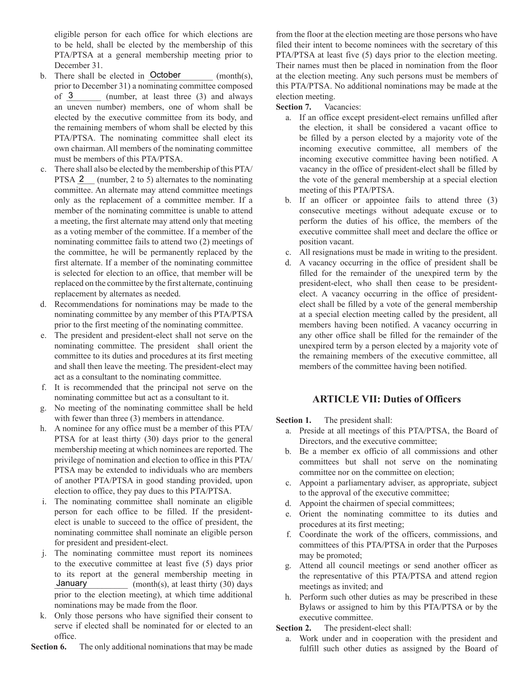eligible person for each office for which elections are to be held, shall be elected by the membership of this PTA/PTSA at a general membership meeting prior to December 31.

- b. There shall be elected in  $October \t(month(s),$ prior to December 31) a nominating committee composed (number, at least three  $(3)$  and always an uneven number) members, one of whom shall be elected by the executive committee from its body, and the remaining members of whom shall be elected by this PTA/PTSA. The nominating committee shall elect its own chairman. All members of the nominating committee must be members of this PTA/PTSA. of  $3$
- c. There shall also be elected by the membership of this PTA/ PTSA  $2$  (number, 2 to 5) alternates to the nominating committee. An alternate may attend committee meetings only as the replacement of a committee member. If a member of the nominating committee is unable to attend a meeting, the first alternate may attend only that meeting as a voting member of the committee. If a member of the nominating committee fails to attend two (2) meetings of the committee, he will be permanently replaced by the first alternate. If a member of the nominating committee is selected for election to an office, that member will be replaced on the committee by the first alternate, continuing replacement by alternates as needed.
- d. Recommendations for nominations may be made to the nominating committee by any member of this PTA/PTSA prior to the first meeting of the nominating committee.
- e. The president and president-elect shall not serve on the nominating committee. The president shall orient the committee to its duties and procedures at its first meeting and shall then leave the meeting. The president-elect may act as a consultant to the nominating committee.
- f. It is recommended that the principal not serve on the nominating committee but act as a consultant to it.
- g. No meeting of the nominating committee shall be held with fewer than three  $(3)$  members in attendance.
- h. A nominee for any office must be a member of this PTA/ PTSA for at least thirty (30) days prior to the general membership meeting at which nominees are reported. The privilege of nomination and election to office in this PTA/ PTSA may be extended to individuals who are members of another PTA/PTSA in good standing provided, upon election to office, they pay dues to this PTA/PTSA.
- i. The nominating committee shall nominate an eligible person for each office to be filled. If the presidentelect is unable to succeed to the office of president, the nominating committee shall nominate an eligible person for president and president-elect.
- j. The nominating committee must report its nominees to the executive committee at least five (5) days prior to its report at the general membership meeting in  $\frac{1}{2}$  (month(s), at least thirty (30) days prior to the election meeting), at which time additional nominations may be made from the floor. January
- k. Only those persons who have signified their consent to serve if elected shall be nominated for or elected to an office.

**Section 6.** The only additional nominations that may be made

from the floor at the election meeting are those persons who have filed their intent to become nominees with the secretary of this PTA/PTSA at least five (5) days prior to the election meeting. Their names must then be placed in nomination from the floor at the election meeting. Any such persons must be members of this PTA/PTSA. No additional nominations may be made at the election meeting.

**Section 7.** Vacancies:

- a. If an office except president-elect remains unfilled after the election, it shall be considered a vacant office to be filled by a person elected by a majority vote of the incoming executive committee, all members of the incoming executive committee having been notified. A vacancy in the office of president-elect shall be filled by the vote of the general membership at a special election meeting of this PTA/PTSA.
- b. If an officer or appointee fails to attend three (3) consecutive meetings without adequate excuse or to perform the duties of his office, the members of the executive committee shall meet and declare the office or position vacant.
- c. All resignations must be made in writing to the president.
- d. A vacancy occurring in the office of president shall be filled for the remainder of the unexpired term by the president-elect, who shall then cease to be presidentelect. A vacancy occurring in the office of presidentelect shall be filled by a vote of the general membership at a special election meeting called by the president, all members having been notified. A vacancy occurring in any other office shall be filled for the remainder of the unexpired term by a person elected by a majority vote of the remaining members of the executive committee, all members of the committee having been notified.

## **ARTICLE VII: Duties of Officers**

**Section 1.** The president shall:

- a. Preside at all meetings of this PTA/PTSA, the Board of Directors, and the executive committee;
- b. Be a member ex officio of all commissions and other committees but shall not serve on the nominating committee nor on the committee on election;
- c. Appoint a parliamentary adviser, as appropriate, subject to the approval of the executive committee;
- d. Appoint the chairmen of special committees;
- e. Orient the nominating committee to its duties and procedures at its first meeting;
- f. Coordinate the work of the officers, commissions, and committees of this PTA/PTSA in order that the Purposes may be promoted;
- g. Attend all council meetings or send another officer as the representative of this PTA/PTSA and attend region meetings as invited; and
- h. Perform such other duties as may be prescribed in these Bylaws or assigned to him by this PTA/PTSA or by the executive committee.

**Section 2.** The president-elect shall:

a. Work under and in cooperation with the president and fulfill such other duties as assigned by the Board of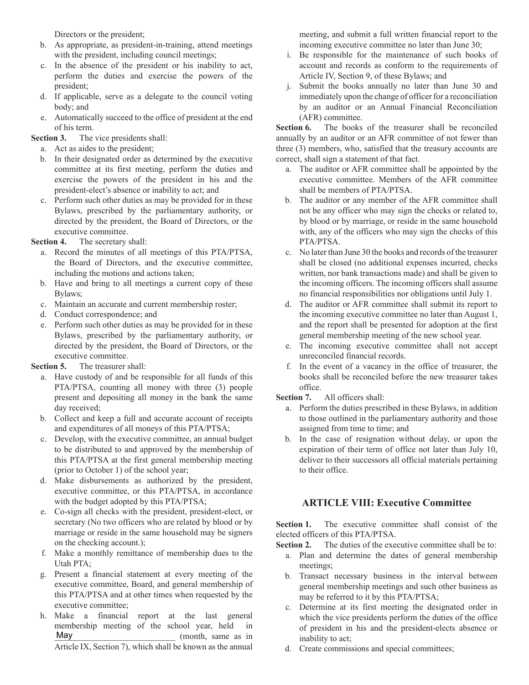Directors or the president;

- b. As appropriate, as president-in-training, attend meetings with the president, including council meetings;
- c. In the absence of the president or his inability to act, perform the duties and exercise the powers of the president;
- d. If applicable, serve as a delegate to the council voting body; and
- e. Automatically succeed to the office of president at the end of his term.

**Section 3.** The vice presidents shall:

- a. Act as aides to the president;
- b. In their designated order as determined by the executive committee at its first meeting, perform the duties and exercise the powers of the president in his and the president-elect's absence or inability to act; and
- c. Perform such other duties as may be provided for in these Bylaws, prescribed by the parliamentary authority, or directed by the president, the Board of Directors, or the executive committee.

#### **Section 4.** The secretary shall:

- a. Record the minutes of all meetings of this PTA/PTSA, the Board of Directors, and the executive committee, including the motions and actions taken;
- b. Have and bring to all meetings a current copy of these Bylaws;
- c. Maintain an accurate and current membership roster;
- d. Conduct correspondence; and
- e. Perform such other duties as may be provided for in these Bylaws, prescribed by the parliamentary authority, or directed by the president, the Board of Directors, or the executive committee.

#### **Section 5.** The treasurer shall:

- a. Have custody of and be responsible for all funds of this PTA/PTSA, counting all money with three (3) people present and depositing all money in the bank the same day received;
- b. Collect and keep a full and accurate account of receipts and expenditures of all moneys of this PTA/PTSA;
- c. Develop, with the executive committee, an annual budget to be distributed to and approved by the membership of this PTA/PTSA at the first general membership meeting (prior to October 1) of the school year;
- d. Make disbursements as authorized by the president, executive committee, or this PTA/PTSA, in accordance with the budget adopted by this PTA/PTSA;
- e. Co-sign all checks with the president, president-elect, or secretary (No two officers who are related by blood or by marriage or reside in the same household may be signers on the checking account.);
- f. Make a monthly remittance of membership dues to the Utah PTA;
- g. Present a financial statement at every meeting of the executive committee, Board, and general membership of this PTA/PTSA and at other times when requested by the executive committee;
- h. Make a financial report at the last general membership meeting of the school year, held in \_\_\_\_\_\_\_\_\_\_\_\_\_\_\_\_\_\_\_\_\_\_\_\_\_\_\_\_ (month, same as in Article IX, Section 7), which shall be known as the annual May

meeting, and submit a full written financial report to the incoming executive committee no later than June 30;

- i. Be responsible for the maintenance of such books of account and records as conform to the requirements of Article IV, Section 9, of these Bylaws; and
- j. Submit the books annually no later than June 30 and immediately upon the change of officer for a reconciliation by an auditor or an Annual Financial Reconciliation (AFR) committee.

Section 6. The books of the treasurer shall be reconciled annually by an auditor or an AFR committee of not fewer than three (3) members, who, satisfied that the treasury accounts are correct, shall sign a statement of that fact.

- a. The auditor or AFR committee shall be appointed by the executive committee. Members of the AFR committee shall be members of PTA/PTSA.
- b. The auditor or any member of the AFR committee shall not be any officer who may sign the checks or related to, by blood or by marriage, or reside in the same household with, any of the officers who may sign the checks of this PTA/PTSA.
- c. No later than June 30 the books and records of the treasurer shall be closed (no additional expenses incurred, checks written, nor bank transactions made) and shall be given to the incoming officers. The incoming officers shall assume no financial responsibilities nor obligations until July 1.
- d. The auditor or AFR committee shall submit its report to the incoming executive committee no later than August 1, and the report shall be presented for adoption at the first general membership meeting of the new school year.
- e. The incoming executive committee shall not accept unreconciled financial records.
- f. In the event of a vacancy in the office of treasurer, the books shall be reconciled before the new treasurer takes office.

#### **Section 7.** All officers shall:

- a. Perform the duties prescribed in these Bylaws, in addition to those outlined in the parliamentary authority and those assigned from time to time; and
- b. In the case of resignation without delay, or upon the expiration of their term of office not later than July 10, deliver to their successors all official materials pertaining to their office.

## **ARTICLE VIII: Executive Committee**

Section 1. The executive committee shall consist of the elected officers of this PTA/PTSA.

**Section 2.** The duties of the executive committee shall be to:

- a. Plan and determine the dates of general membership meetings;
- b. Transact necessary business in the interval between general membership meetings and such other business as may be referred to it by this PTA/PTSA;
- c. Determine at its first meeting the designated order in which the vice presidents perform the duties of the office of president in his and the president-elects absence or inability to act;
- d. Create commissions and special committees;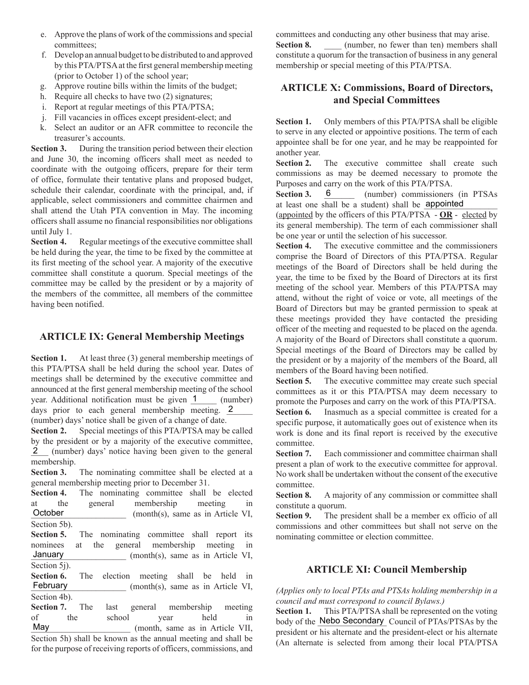- e. Approve the plans of work of the commissions and special committees;
- f. Develop an annual budget to be distributed to and approved by this PTA/PTSA at the first general membership meeting (prior to October 1) of the school year;
- g. Approve routine bills within the limits of the budget;
- h. Require all checks to have two (2) signatures;
- i. Report at regular meetings of this PTA/PTSA;
- j. Fill vacancies in offices except president-elect; and
- k. Select an auditor or an AFR committee to reconcile the treasurer's accounts.

**Section 3.** During the transition period between their election and June 30, the incoming officers shall meet as needed to coordinate with the outgoing officers, prepare for their term of office, formulate their tentative plans and proposed budget, schedule their calendar, coordinate with the principal, and, if applicable, select commissioners and committee chairmen and shall attend the Utah PTA convention in May. The incoming officers shall assume no financial responsibilities nor obligations until July 1.

**Section 4.** Regular meetings of the executive committee shall be held during the year, the time to be fixed by the committee at its first meeting of the school year. A majority of the executive committee shall constitute a quorum. Special meetings of the committee may be called by the president or by a majority of the members of the committee, all members of the committee having been notified.

## **ARTICLE IX: General Membership Meetings**

**Section 1.** At least three (3) general membership meetings of this PTA/PTSA shall be held during the school year. Dates of meetings shall be determined by the executive committee and announced at the first general membership meeting of the school year. Additional notification must be given  $1$  (number) days prior to each general membership meeting.  $2 \qquad$ 

(number) days' notice shall be given of a change of date. **Section 2.** Special meetings of this PTA/PTSA may be called by the president or by a majority of the executive committee, 2 (number) days' notice having been given to the general membership.

**Section 3.** The nominating committee shall be elected at a general membership meeting prior to December 31.

Section 4. The nominating committee shall be elected at the general membership meeting in  $(month(s), same as in Article VI,$ Section 5b). **October** 

Section 5. The nominating committee shall report its nominees at the general membership meeting in  $(month(s))$ , same as in Article VI, Section 5j). January

**Section 6.** The election meeting shall be held in  $(month(s))$ , same as in Article VI, Section 4b). February

**Section 7.** The last general membership meeting of the school vear held in of the school year held in \_\_\_\_\_\_\_\_\_\_\_\_\_\_\_\_\_\_\_\_\_\_\_ (month, same as in Article VII, May

Section 5h) shall be known as the annual meeting and shall be for the purpose of receiving reports of officers, commissions, and committees and conducting any other business that may arise. **Section 8.** (number, no fewer than ten) members shall constitute a quorum for the transaction of business in any general membership or special meeting of this PTA/PTSA.

# **ARTICLE X: Commissions, Board of Directors, and Special Committees**

**Section 1.** Only members of this PTA/PTSA shall be eligible to serve in any elected or appointive positions. The term of each appointee shall be for one year, and he may be reappointed for another year.

Section 2. The executive committee shall create such commissions as may be deemed necessary to promote the Purposes and carry on the work of this PTA/PTSA.

Section 3. 6 (number) commissioners (in PTSAs at least one shall be a student) shall be **appointed** 

(appointed by the officers of this PTA/PTSA - **OR** - elected by its general membership). The term of each commissioner shall be one year or until the selection of his successor.

Section 4. The executive committee and the commissioners comprise the Board of Directors of this PTA/PTSA. Regular meetings of the Board of Directors shall be held during the year, the time to be fixed by the Board of Directors at its first meeting of the school year. Members of this PTA/PTSA may attend, without the right of voice or vote, all meetings of the Board of Directors but may be granted permission to speak at these meetings provided they have contacted the presiding officer of the meeting and requested to be placed on the agenda. A majority of the Board of Directors shall constitute a quorum. Special meetings of the Board of Directors may be called by the president or by a majority of the members of the Board, all members of the Board having been notified.

**Section 5.** The executive committee may create such special committees as it or this PTA/PTSA may deem necessary to promote the Purposes and carry on the work of this PTA/PTSA.

Section 6. Inasmuch as a special committee is created for a specific purpose, it automatically goes out of existence when its work is done and its final report is received by the executive committee.

Section 7. Each commissioner and committee chairman shall present a plan of work to the executive committee for approval. No work shall be undertaken without the consent of the executive committee.

Section 8. A majority of any commission or committee shall constitute a quorum.

**Section 9.** The president shall be a member ex officio of all commissions and other committees but shall not serve on the nominating committee or election committee.

## **ARTICLE XI: Council Membership**

*(Applies only to local PTAs and PTSAs holding membership in a council and must correspond to council Bylaws.)*

**Section 1.** This PTA/PTSA shall be represented on the voting body of the Nebo Secondary Council of PTAs/PTSAs by the president or his alternate and the president-elect or his alternate (An alternate is selected from among their local PTA/PTSA